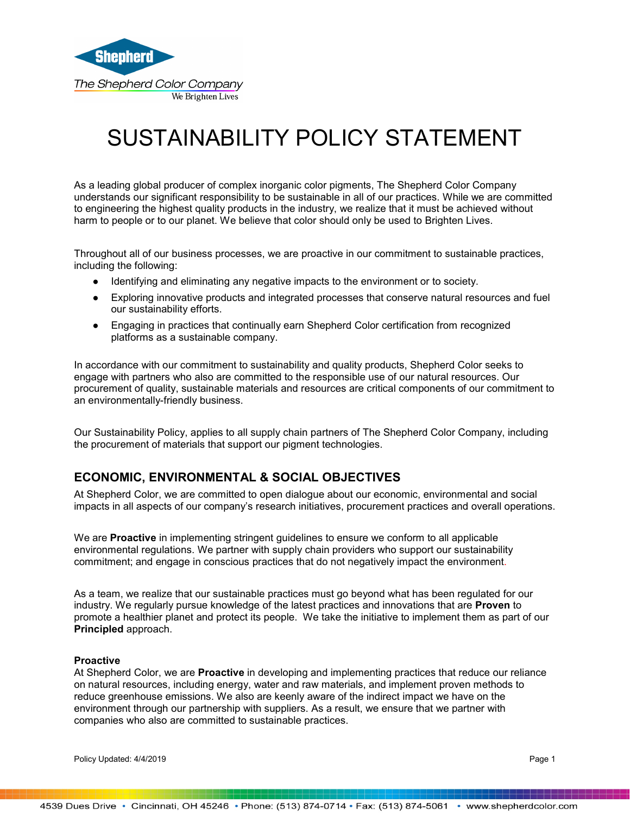

# SUSTAINABILITY POLICY STATEMENT

As a leading global producer of complex inorganic color pigments, The Shepherd Color Company understands our significant responsibility to be sustainable in all of our practices. While we are committed to engineering the highest quality products in the industry, we realize that it must be achieved without harm to people or to our planet. We believe that color should only be used to Brighten Lives.

Throughout all of our business processes, we are proactive in our commitment to sustainable practices, including the following:

- Identifying and eliminating any negative impacts to the environment or to society.
- Exploring innovative products and integrated processes that conserve natural resources and fuel our sustainability efforts.
- Engaging in practices that continually earn Shepherd Color certification from recognized platforms as a sustainable company.

In accordance with our commitment to sustainability and quality products, Shepherd Color seeks to engage with partners who also are committed to the responsible use of our natural resources. Our procurement of quality, sustainable materials and resources are critical components of our commitment to an environmentally-friendly business.

Our Sustainability Policy, applies to all supply chain partners of The Shepherd Color Company, including the procurement of materials that support our pigment technologies.

## **ECONOMIC, ENVIRONMENTAL & SOCIAL OBJECTIVES**

At Shepherd Color, we are committed to open dialogue about our economic, environmental and social impacts in all aspects of our company's research initiatives, procurement practices and overall operations.

We are **Proactive** in implementing stringent guidelines to ensure we conform to all applicable environmental regulations. We partner with supply chain providers who support our sustainability commitment; and engage in conscious practices that do not negatively impact the environment.

As a team, we realize that our sustainable practices must go beyond what has been regulated for our industry. We regularly pursue knowledge of the latest practices and innovations that are **Proven** to promote a healthier planet and protect its people. We take the initiative to implement them as part of our **Principled** approach.

#### **Proactive**

At Shepherd Color, we are **Proactive** in developing and implementing practices that reduce our reliance on natural resources, including energy, water and raw materials, and implement proven methods to reduce greenhouse emissions. We also are keenly aware of the indirect impact we have on the environment through our partnership with suppliers. As a result, we ensure that we partner with companies who also are committed to sustainable practices.

Policy Updated: 4/4/2019 **Page 1**